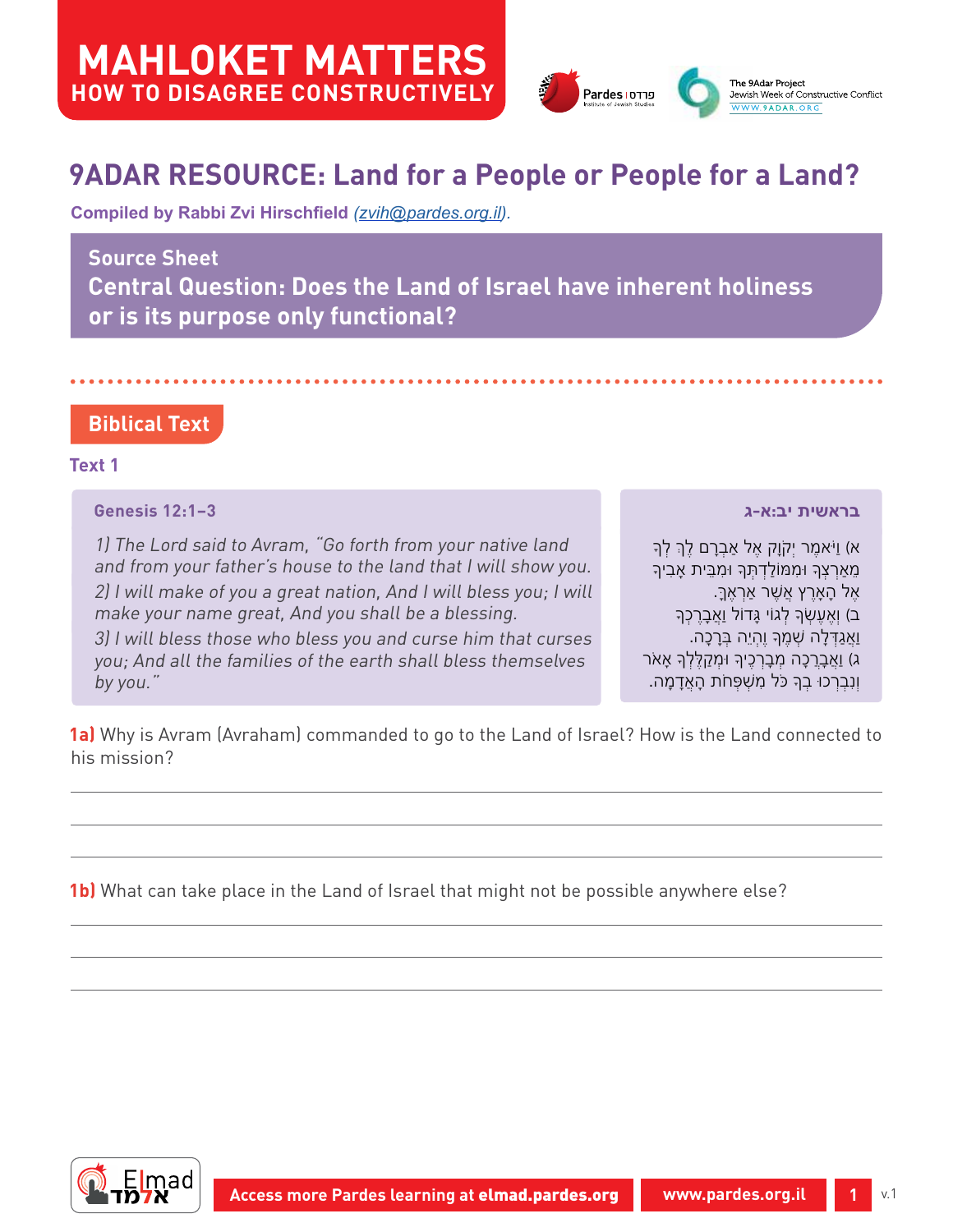

# **9ADAR RESOURCE: Land for a People or People for a Land?**

**Compiled by Rabbi Zvi Hirschfield** *(zvi[h@pardes.org.il\)](mailto:zvih%40pardes.org.il?subject=).*

## **Source Sheet**

**Central Question: Does the Land of Israel have inherent holiness or is its purpose only functional?**

## **Biblical Text**

## **Text 1**

## **Genesis 12:1–3**

1) The Lord said to Avram, "Go forth from your native land and from your father's house to the land that I will show you. 2) I will make of you a great nation, And I will bless you; I will make your name great, And you shall be a blessing. 3) I will bless those who bless you and curse him that curses you; And all the families of the earth shall bless themselves by you."

**בראשית יב:א-ג**

ּא) וַיֹּאמֶר יִקֹוַק אֶל אַבְרַם לֶךְ לְךָ מֵאַרְצְָך ּומִּמֹולַדְּתְָך ּומִּבֵית אָבִיָך אֶל הָאָרֶץ אֲׁשֶר אַרְאֶּך.ָ ב) וְאֵעֵשְׂךָ לְגוֹי גָּדוֹל וַאֲבָרֵכְךָ ו ַאֲגַּדְלָה ׁשְמֶָך ו ֶהְי ֵה ּבְרָכָה. ג) <u>ואָבָר</u>ְכָה מְבָרְכֶיךָ וּמְקַלֶּלְךָ אָאֹר ו ְנִבְרְכּו בְָך ּכֹל מִׁשְּפְחֹת הָאֲדָמָה.

**1a)** Why is Avram (Avraham) commanded to go to the Land of Israel? How is the Land connected to his mission?

**1b)** What can take place in the Land of Israel that might not be possible anywhere else?

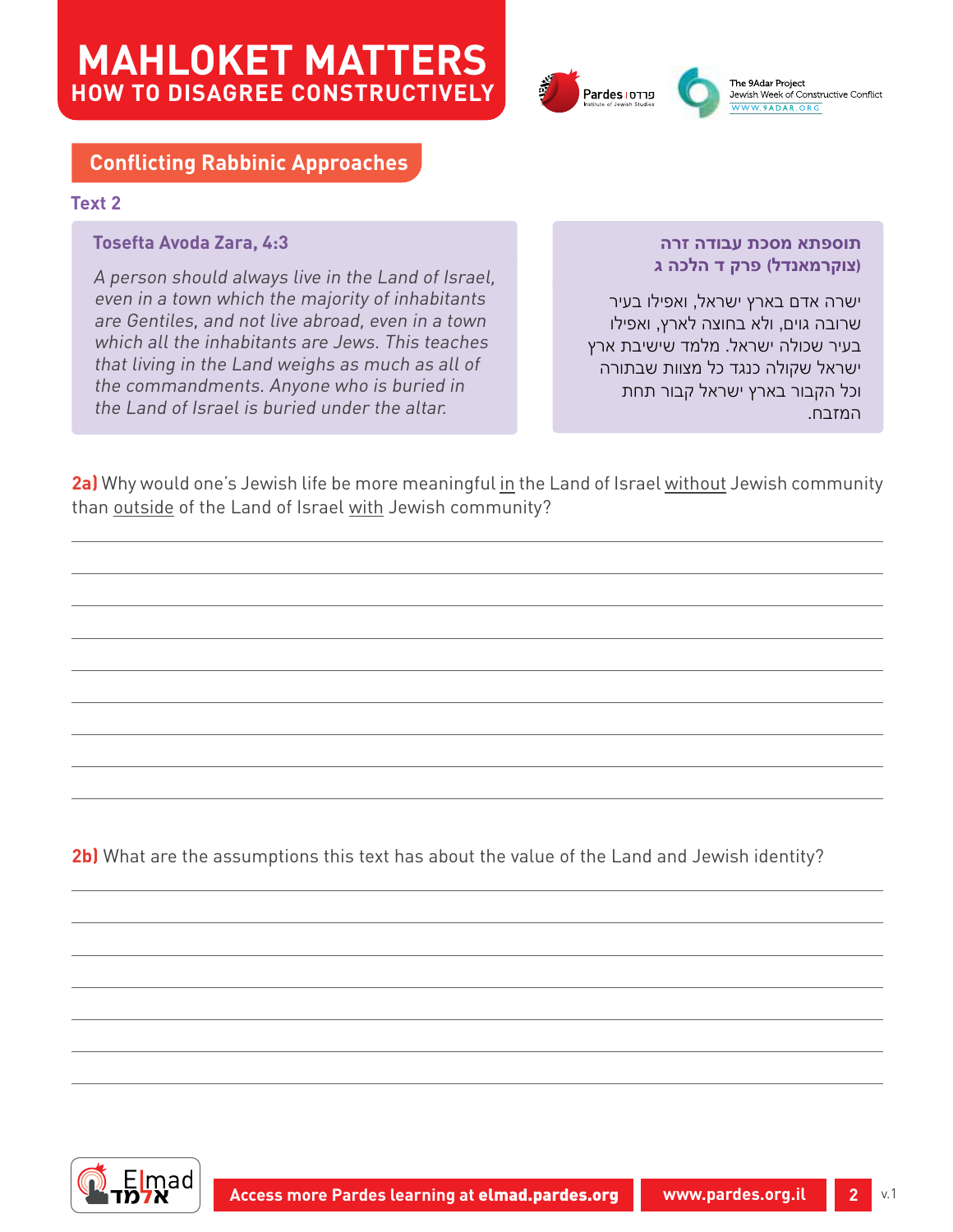



## **Conflicting Rabbinic Approaches**

### **Text 2**

### **Tosefta Avoda Zara, 4:3**

A person should always live in the Land of Israel, even in a town which the majority of inhabitants are Gentiles, and not live abroad, even in a town which all the inhabitants are Jews. This teaches that living in the Land weighs as much as all of the commandments. Anyone who is buried in the Land of Israel is buried under the altar.

#### **תוספתא מסכת עבודה זרה )צוקרמאנדל( פרק ד הלכה ג**

ישרה אדם בארץ ישראל, ואפילו בעיר שרובה גוים, ולא בחוצה לארץ, ואפילו בעיר שכולה ישראל. מלמד שישיבת ארץ ישראל שקולה כנגד כל מצוות שבתורה וכל הקבור בארץ ישראל קבור תחת המזבח.

**2a)** Why would one's Jewish life be more meaningful in the Land of Israel without Jewish community than outside of the Land of Israel with Jewish community?

**2b)** What are the assumptions this text has about the value of the Land and Jewish identity?

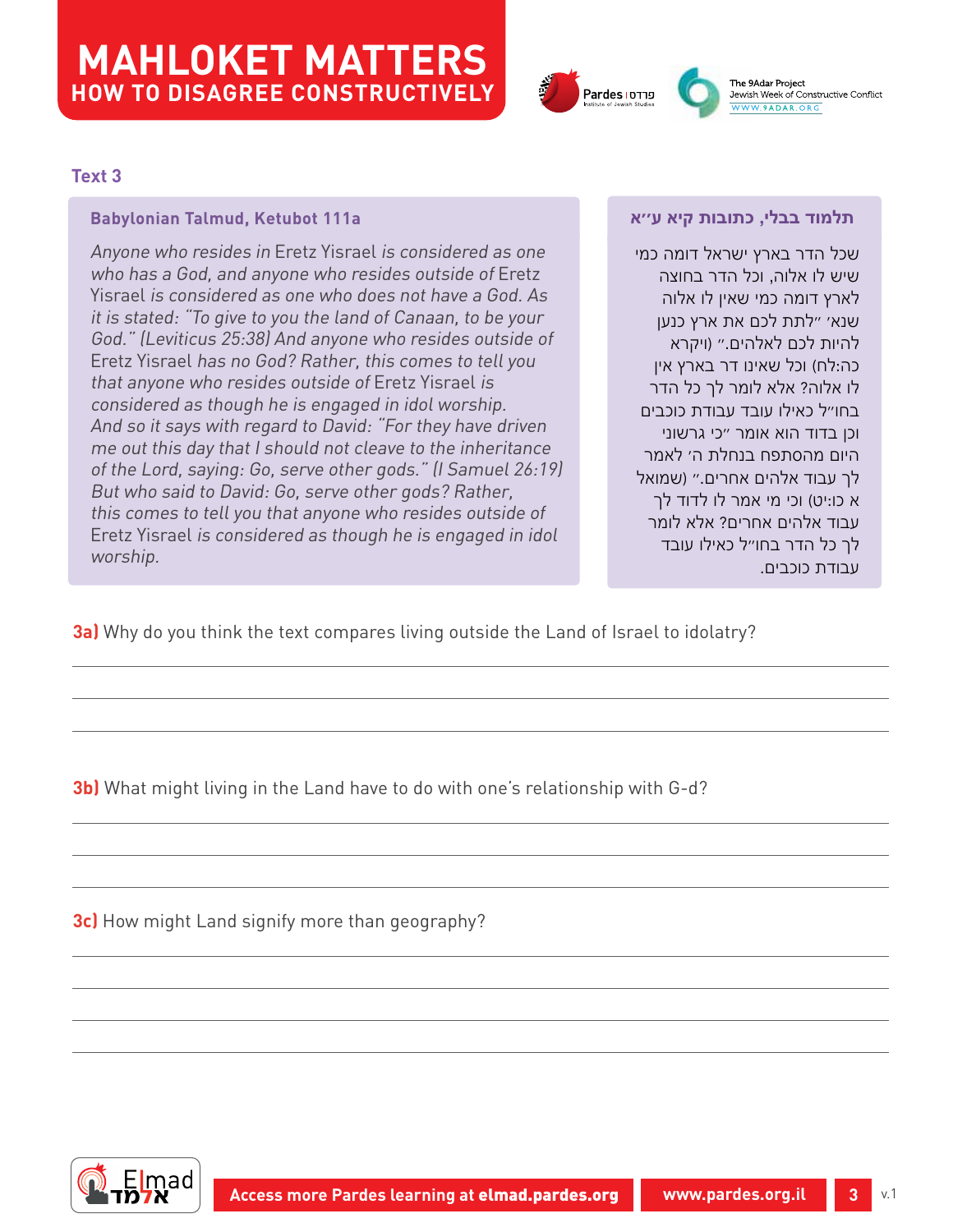

The 9Adar Project Jewish Week of Constructive Conflict WW.9ADAR.ORG

### **Text 3**

#### **Babylonian Talmud, Ketubot 111a**

Anyone who resides in Eretz Yisrael is considered as one who has a God, and anyone who resides outside of Eretz Yisrael is considered as one who does not have a God. As it is stated: "To give to you the land of Canaan, to be your God." (Leviticus 25:38) And anyone who resides outside of Eretz Yisrael has no God? Rather, this comes to tell you that anyone who resides outside of Eretz Yisrael is considered as though he is engaged in idol worship. And so it says with regard to David: "For they have driven me out this day that I should not cleave to the inheritance of the Lord, saying: Go, serve other gods." (I Samuel 26:19) But who said to David: Go, serve other gods? Rather, this comes to tell you that anyone who resides outside of Eretz Yisrael is considered as though he is engaged in idol worship.

#### **תלמוד בבלי, כתובות קיא ע''א**

שכל הדר בארץ ישראל דומה כמי שיש לו אלוה, וכל הדר בחוצה לארץ דומה כמי שאין לו אלוה שנא' "לתת לכם את ארץ כנען להיות לכם לאלהים." )ויקרא כה:לח) וכל שאינו דר בארץ אין לו אלוה? אלא לומר לך כל הדר בחו"ל כאילו עובד עבודת כוכבים וכן בדוד הוא אומר "כי גרשוני היום מהסתפח בנחלת ה' לאמר לך עבוד אלהים אחרים." )שמואל א כו:יט) וכי מי אמר לו לדוד לך עבוד אלהים אחרים? אלא לומר לך כל הדר בחו"ל כאילו עובד עבודת כוכבים.

**3a)** Why do you think the text compares living outside the Land of Israel to idolatry?

**3b)** What might living in the Land have to do with one's relationship with G-d?

**3c)** How might Land signify more than geography?

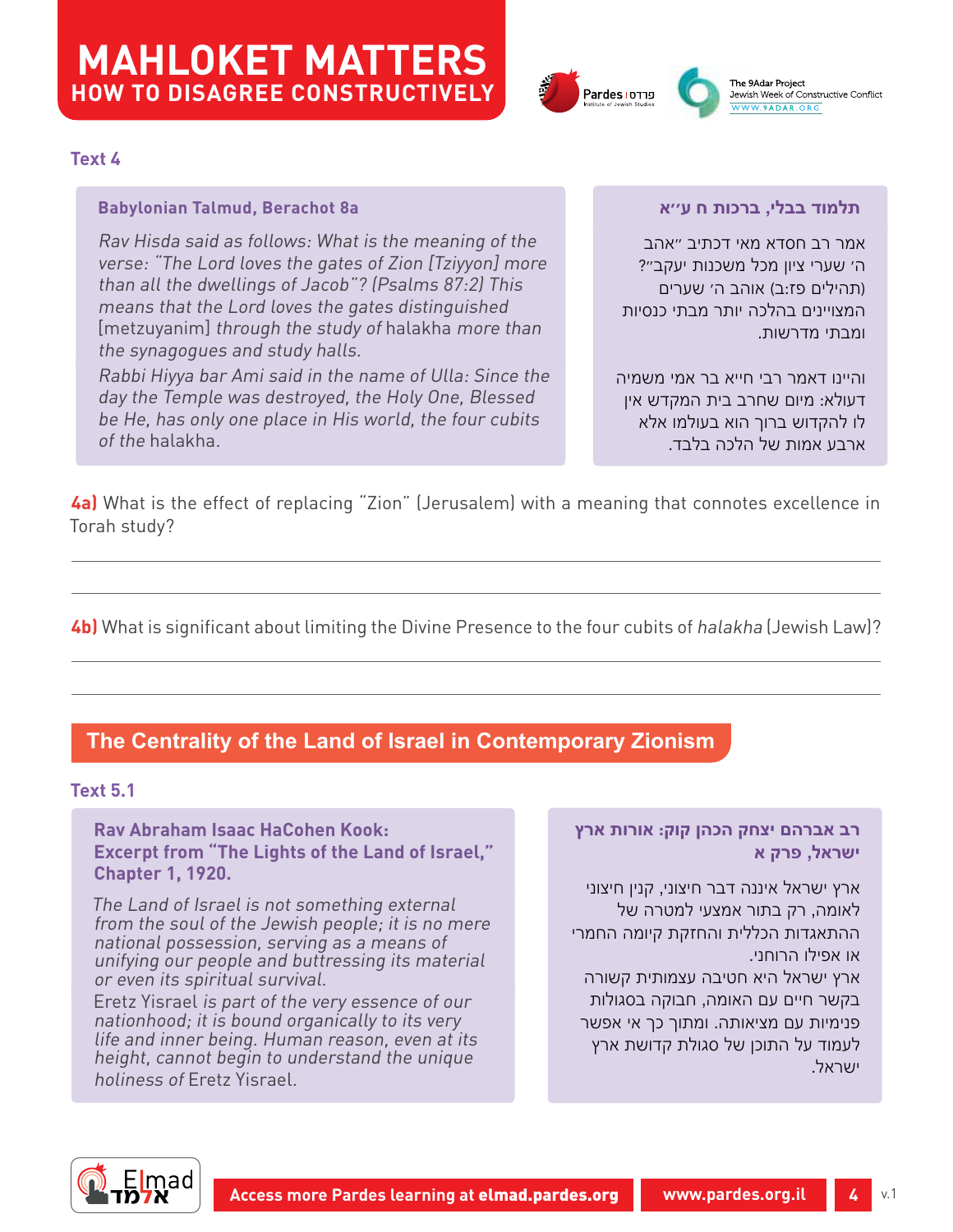



#### **Text 4**

### **Babylonian Talmud, Berachot 8a**

Rav Hisda said as follows: What is the meaning of the verse: "The Lord loves the gates of Zion [Tziyyon] more than all the dwellings of Jacob"? (Psalms 87:2) This means that the Lord loves the gates distinguished [metzuyanim] through the study of halakha more than the synagogues and study halls.

Rabbi Hiyya bar Ami said in the name of Ulla: Since the day the Temple was destroyed, the Holy One, Blessed be He, has only one place in His world, the four cubits of the halakha.

### **תלמוד בבלי, ברכות ח ע''א**

אמר רב חסדא מאי דכתיב "אהב ה׳ שערי ציון מכל משכנות יעקב"? (תהילים פז:ב) אוהב ה׳ שערים המצויינים בהלכה יותר מבתי כנסיות ומבתי מדרשות.

והיינו דאמר רבי חייא בר אמי משמיה דעולא: מיום שחרב בית המקדש אין לו להקדוש ברוך הוא בעולמו אלא ארבע אמות של הלכה בלבד.

**4a)** What is the effect of replacing "Zion" (Jerusalem) with a meaning that connotes excellence in Torah study?

**4b)** What is significant about limiting the Divine Presence to the four cubits of halakha (Jewish Law)?

## **The Centrality of the Land of Israel in Contemporary Zionism**

#### **Text 5.1**

**Rav Abraham Isaac HaCohen Kook: Excerpt from "The Lights of the Land of Israel," Chapter 1, 1920.**

The Land of Israel is not something external from the soul of the Jewish people; it is no mere national possession, serving as a means of unifying our people and buttressing its material or even its spiritual survival.

Eretz Yisrael is part of the very essence of our nationhood; it is bound organically to its very life and inner being. Human reason, even at its height, cannot begin to understand the unique holiness of Eretz Yisrael.

### **רב אברהם יצחק הכהן קוק: אורות ארץ ישראל, פרק א**

ארץ ישראל איננה דבר חיצוני, קנין חיצוני לאומה, רק בתור אמצעי למטרה של ההתאגדות הכללית והחזקת קיומה החמרי או אפילו הרוחני.

ארץ ישראל היא חטיבה עצמותית קשורה בקשר חיים עם האומה, חבוקה בסגולות פנימיות עם מציאותה. ומתוך כך אי אפשר לעמוד על התוכן של סגולת קדושת ארץ ישראל.

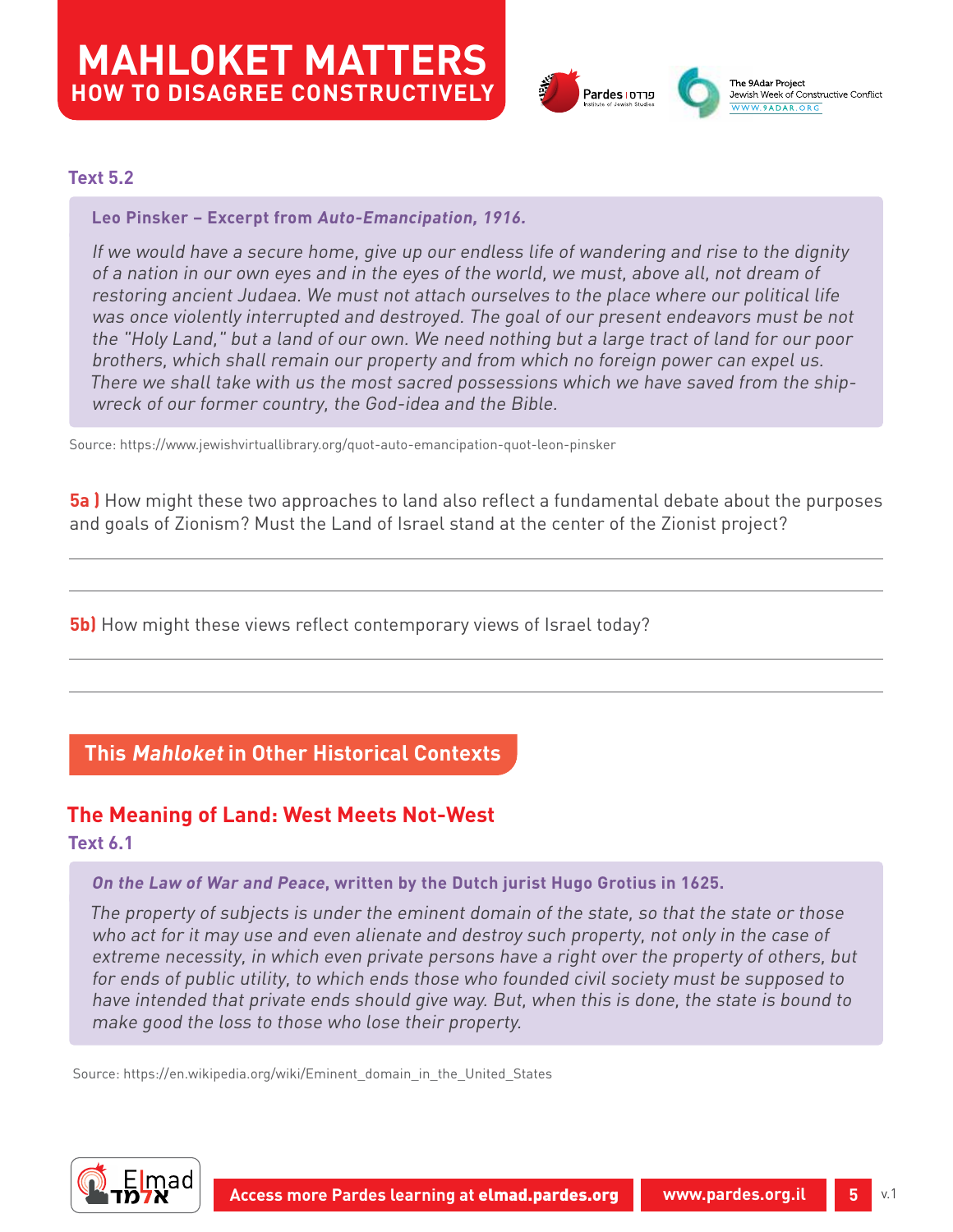

### **Text 5.2**

### **Leo Pinsker – Excerpt from Auto-Emancipation, 1916.**

If we would have a secure home, give up our endless life of wandering and rise to the dignity of a nation in our own eyes and in the eyes of the world, we must, above all, not dream of restoring ancient Judaea. We must not attach ourselves to the place where our political life was once violently interrupted and destroyed. The goal of our present endeavors must be not the "Holy Land," but a land of our own. We need nothing but a large tract of land for our poor brothers, which shall remain our property and from which no foreign power can expel us. There we shall take with us the most sacred possessions which we have saved from the shipwreck of our former country, the God-idea and the Bible.

Source:<https://www.jewishvirtuallibrary.org/quot-auto-emancipation-quot-leon-pinsker>

**5a )** How might these two approaches to land also reflect a fundamental debate about the purposes and goals of Zionism? Must the Land of Israel stand at the center of the Zionist project?

**5b)** How might these views reflect contemporary views of Israel today?

## **This Mahloket in Other Historical Contexts**

# **The Meaning of Land: West Meets Not-West**

**Text 6.1**

#### **On the Law of War and Peace, written by the [Dutch](https://en.wikipedia.org/wiki/Netherlands) [jurist](https://en.wikipedia.org/wiki/Jurist) [Hugo Grotius](https://en.wikipedia.org/wiki/Hugo_Grotius) in 1625.**

The property of subjects is under the eminent domain of the state, so that the state or those who act for it may use and even alienate and destroy such property, not only in the case of extreme necessity, in which even private persons have a right over the property of others, but for ends of public utility, to which ends those who founded civil society must be supposed to have intended that private ends should give way. But, when this is done, the state is bound to make good the loss to those who lose their property.

Source: [https://en.wikipedia.org/wiki/Eminent\\_domain\\_in\\_the\\_United\\_States](https://en.wikipedia.org/wiki/Eminent_domain_in_the_United_States)

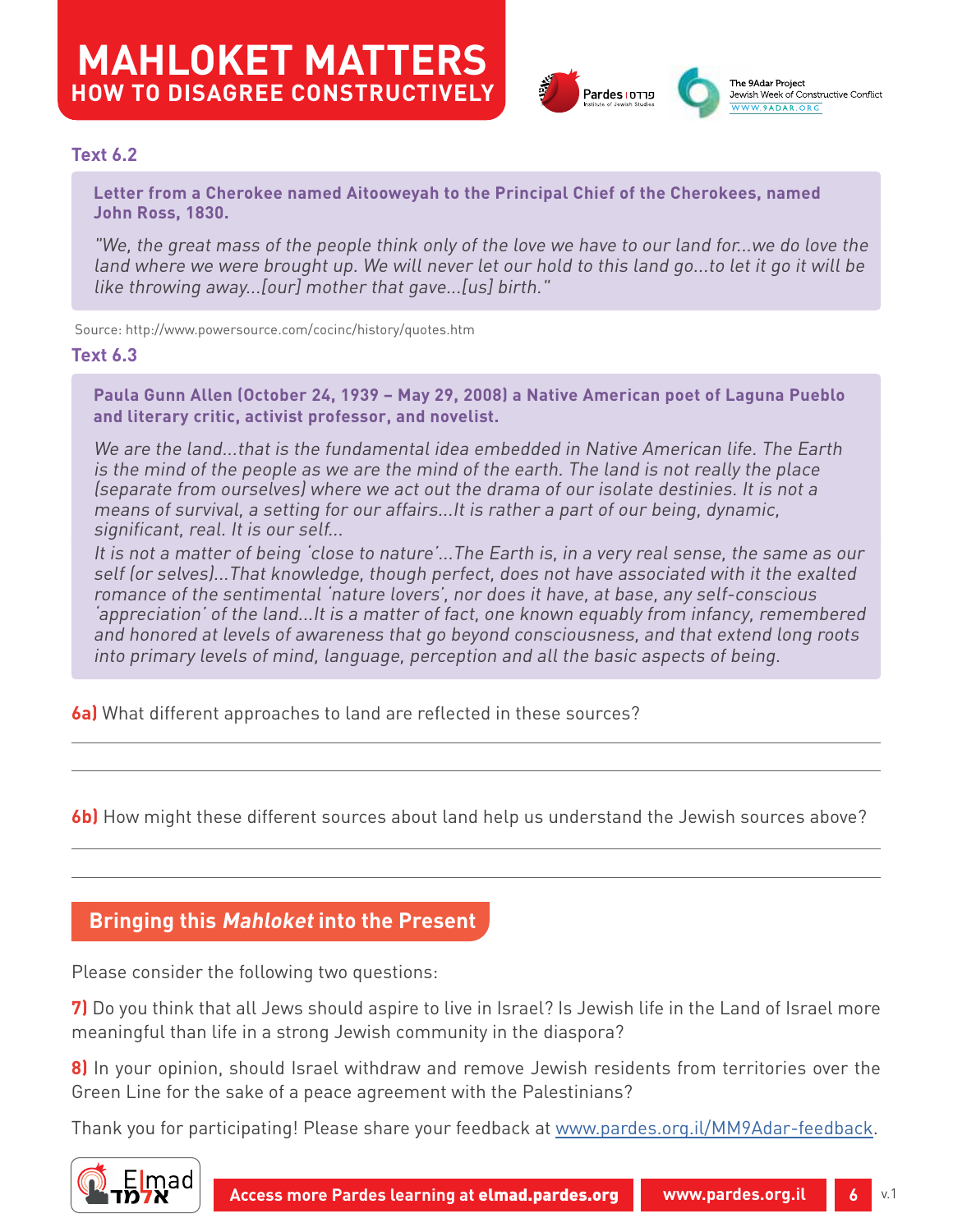

## **Text 6.2**

**Letter from a Cherokee named Aitooweyah to the Principal Chief of the Cherokees, named John Ross, 1830.**

"We, the great mass of the people think only of the love we have to our land for...we do love the land where we were brought up. We will never let our hold to this land go...to let it go it will be like throwing away...[our] mother that gave...[us] birth."

Source: <http://www.powersource.com/cocinc/history/quotes.htm>

#### **Text 6.3**

**Paula Gunn Allen (October 24, 1939 – May 29, 2008) a [Native American](https://en.wikipedia.org/wiki/Native_Americans_in_the_United_States) [poet](https://en.wikipedia.org/wiki/Poet) of Laguna Pueblo and [literary critic](https://en.wikipedia.org/wiki/Literary_critic), activist [professor](https://en.wikipedia.org/wiki/Professor), and [novelist.](https://en.wikipedia.org/wiki/Novelist)** 

We are the land...that is the fundamental idea embedded in Native American life. The Earth is the mind of the people as we are the mind of the earth. The land is not really the place (separate from ourselves) where we act out the drama of our isolate destinies. It is not a means of survival, a setting for our affairs...It is rather a part of our being, dynamic, significant, real. It is our self...

It is not a matter of being 'close to nature'...The Earth is, in a very real sense, the same as our self (or selves)...That knowledge, though perfect, does not have associated with it the exalted romance of the sentimental 'nature lovers', nor does it have, at base, any self-conscious 'appreciation' of the land...It is a matter of fact, one known equably from infancy, remembered and honored at levels of awareness that go beyond consciousness, and that extend long roots into primary levels of mind, language, perception and all the basic aspects of being.

**6a)** What different approaches to land are reflected in these sources?

**6b)** How might these different sources about land help us understand the Jewish sources above?

## **Bringing this Mahloket into the Present**

Please consider the following two questions:

**7)** Do you think that all Jews should aspire to live in Israel? Is Jewish life in the Land of Israel more meaningful than life in a strong Jewish community in the diaspora?

**8)** In your opinion, should Israel withdraw and remove Jewish residents from territories over the Green Line for the sake of a peace agreement with the Palestinians?

Thank you for participating! Please share your feedback at [www.pardes.org.il/MM9Adar-feedback](http://www.pardes.org.il/MM9Adar-feedback).